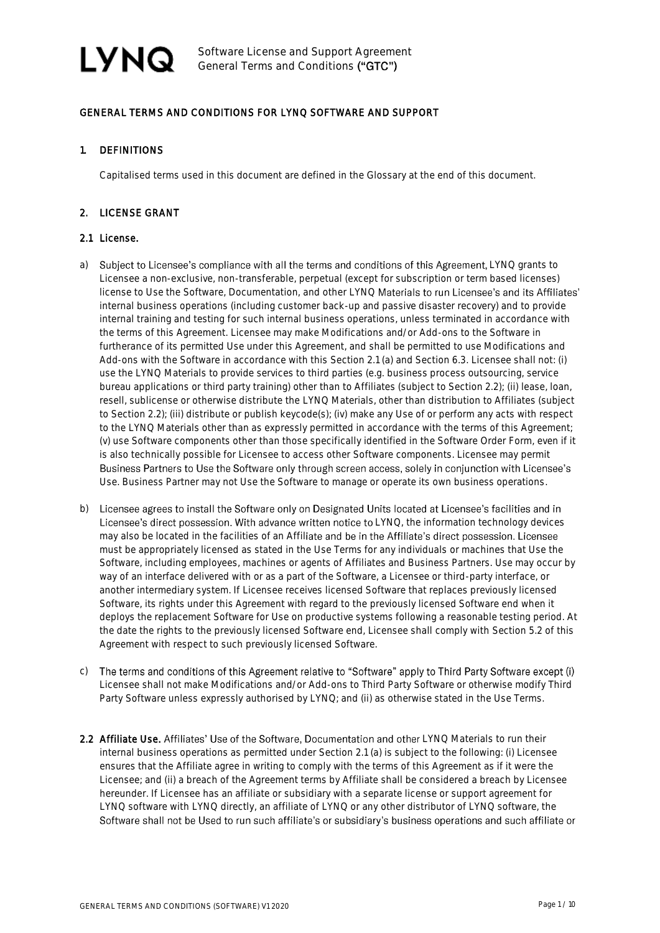

### GENERAL TERMS AND CONDITIONS FOR LYNQ SOFTWARE AND SUPPORT

#### 1. DEFINITIONS

Capitalised terms used in this document are defined in the Glossary at the end of this document.

### 2. LICENSE GRANT

#### 2.1 License.

- a) Subject to Licensee's compliance with all the terms and conditions of this Agreement, LYNQ grants to Licensee a non-exclusive, non-transferable, perpetual (except for subscription or term based licenses) license to Use the Software, Documentation, and other LYNQ Materials to run Licensee's and its Affiliates' internal business operations (including customer back-up and passive disaster recovery) and to provide internal training and testing for such internal business operations, unless terminated in accordance with the terms of this Agreement. Licensee may make Modifications and/or Add-ons to the Software in furtherance of its permitted Use under this Agreement, and shall be permitted to use Modifications and Add-ons with the Software in accordance with this Section 2.1 (a) and Section 6.3. Licensee shall not: (i) use the LYNQ Materials to provide services to third parties (e.g. business process outsourcing, service bureau applications or third party training) other than to Affiliates (subject to Section 2.2); (ii) lease, loan, resell, sublicense or otherwise distribute the LYNQ Materials, other than distribution to Affiliates (subject to Section 2.2); (iii) distribute or publish keycode(s); (iv) make any Use of or perform any acts with respect to the LYNQ Materials other than as expressly permitted in accordance with the terms of this Agreement; (v) use Software components other than those specifically identified in the Software Order Form, even if it is also technically possible for Licensee to access other Software components. Licensee may permit Business Partners to Use the Software only through screen access, solely in conjunction with Licensee's Use. Business Partner may not Use the Software to manage or operate its own business operations.
- b) Licensee agrees to install the Software only on Designated Units located at Licensee's facilities and in Licensee's direct possession. With advance written notice to LYNQ, the information technology devices may also be located in the facilities of an Affiliate and be in the Affiliate's direct possession. Licensee must be appropriately licensed as stated in the Use Terms for any individuals or machines that Use the Software, including employees, machines or agents of Affiliates and Business Partners. Use may occur by way of an interface delivered with or as a part of the Software, a Licensee or third-party interface, or another intermediary system. If Licensee receives licensed Software that replaces previously licensed Software, its rights under this Agreement with regard to the previously licensed Software end when it deploys the replacement Software for Use on productive systems following a reasonable testing period. At the date the rights to the previously licensed Software end, Licensee shall comply with Section 5.2 of this Agreement with respect to such previously licensed Software.
- c) The terms and conditions of this Agreement relative to "Software" apply to Third Party Software except (i) Licensee shall not make Modifications and/or Add-ons to Third Party Software or otherwise modify Third Party Software unless expressly authorised by LYNQ; and (ii) as otherwise stated in the Use Terms.
- 2.2 Affiliate Use. Affiliates' Use of the Software, Documentation and other LYNQ Materials to run their internal business operations as permitted under Section 2.1 (a) is subject to the following: (i) Licensee ensures that the Affiliate agree in writing to comply with the terms of this Agreement as if it were the Licensee; and (ii) a breach of the Agreement terms by Affiliate shall be considered a breach by Licensee hereunder. If Licensee has an affiliate or subsidiary with a separate license or support agreement for LYNQ software with LYNQ directly, an affiliate of LYNQ or any other distributor of LYNQ software, the Software shall not be Used to run such affiliate's or subsidiary's business operations and such affiliate or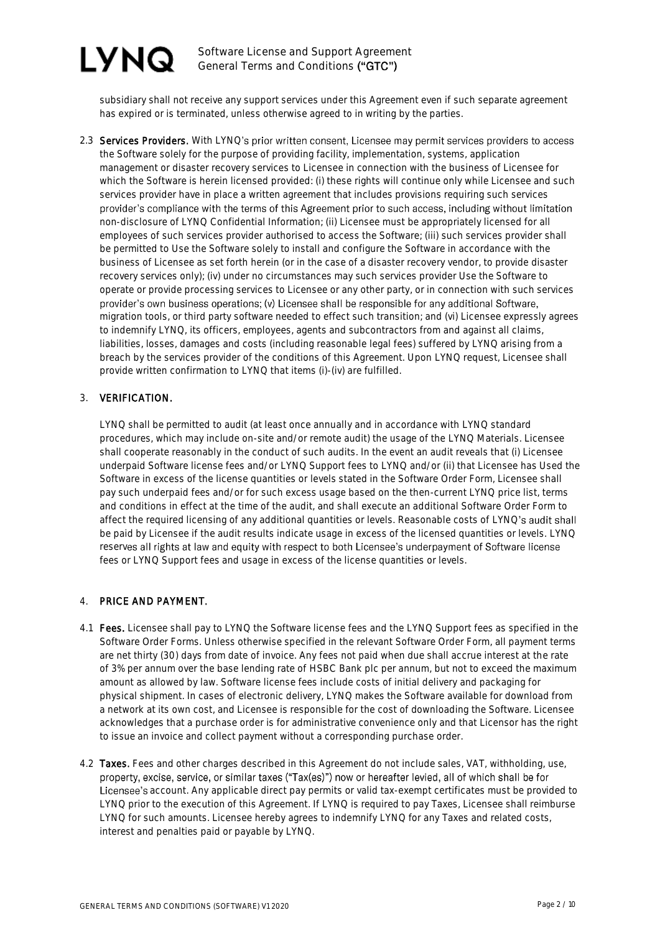Software License and Support Agreement General Terms and Conditions ("GTC")

subsidiary shall not receive any support services under this Agreement even if such separate agreement has expired or is terminated, unless otherwise agreed to in writing by the parties.

2.3 Services Providers. With LYNQ's prior written consent, Licensee may permit services providers to access the Software solely for the purpose of providing facility, implementation, systems, application management or disaster recovery services to Licensee in connection with the business of Licensee for which the Software is herein licensed provided: (i) these rights will continue only while Licensee and such services provider have in place a written agreement that includes provisions requiring such services provider's compliance with the terms of this Agreement prior to such access, including without limitation non-disclosure of LYNQ Confidential Information; (ii) Licensee must be appropriately licensed for all employees of such services provider authorised to access the Software; (iii) such services provider shall be permitted to Use the Software solely to install and configure the Software in accordance with the business of Licensee as set forth herein (or in the case of a disaster recovery vendor, to provide disaster recovery services only); (iv) under no circumstances may such services provider Use the Software to operate or provide processing services to Licensee or any other party, or in connection with such services provider's own business operations; (v) Licensee shall be responsible for any additional Software, migration tools, or third party software needed to effect such transition; and (vi) Licensee expressly agrees to indemnify LYNQ, its officers, employees, agents and subcontractors from and against all claims, liabilities, losses, damages and costs (including reasonable legal fees) suffered by LYNQ arising from a breach by the services provider of the conditions of this Agreement. Upon LYNQ request, Licensee shall provide written confirmation to LYNQ that items (i)-(iv) are fulfilled.

### 3. VERIFICATION.

LYNQ shall be permitted to audit (at least once annually and in accordance with LYNQ standard procedures, which may include on-site and/or remote audit) the usage of the LYNQ Materials. Licensee shall cooperate reasonably in the conduct of such audits. In the event an audit reveals that (i) Licensee underpaid Software license fees and/or LYNQ Support fees to LYNQ and/or (ii) that Licensee has Used the Software in excess of the license quantities or levels stated in the Software Order Form, Licensee shall pay such underpaid fees and/or for such excess usage based on the then-current LYNQ price list, terms and conditions in effect at the time of the audit, and shall execute an additional Software Order Form to affect the required licensing of any additional quantities or levels. Reasonable costs of LYNQ's audit shall be paid by Licensee if the audit results indicate usage in excess of the licensed quantities or levels. LYNQ reserves all rights at law and equity with respect to both Licensee's underpayment of Software license fees or LYNQ Support fees and usage in excess of the license quantities or levels.

#### 4. PRICE AND PAYMENT.

- 4.1 Fees. Licensee shall pay to LYNQ the Software license fees and the LYNQ Support fees as specified in the Software Order Forms. Unless otherwise specified in the relevant Software Order Form, all payment terms are net thirty (30) days from date of invoice. Any fees not paid when due shall accrue interest at the rate of 3% per annum over the base lending rate of HSBC Bank plc per annum, but not to exceed the maximum amount as allowed by law. Software license fees include costs of initial delivery and packaging for physical shipment. In cases of electronic delivery, LYNQ makes the Software available for download from a network at its own cost, and Licensee is responsible for the cost of downloading the Software. Licensee acknowledges that a purchase order is for administrative convenience only and that Licensor has the right to issue an invoice and collect payment without a corresponding purchase order.
- 4.2 Taxes. Fees and other charges described in this Agreement do not include sales, VAT, withholding, use, property, excise, service, or similar taxes ("Tax(es)") now or hereafter levied, all of which shall be for Licensee's account. Any applicable direct pay permits or valid tax-exempt certificates must be provided to LYNQ prior to the execution of this Agreement. If LYNQ is required to pay Taxes, Licensee shall reimburse LYNQ for such amounts. Licensee hereby agrees to indemnify LYNQ for any Taxes and related costs, interest and penalties paid or payable by LYNQ.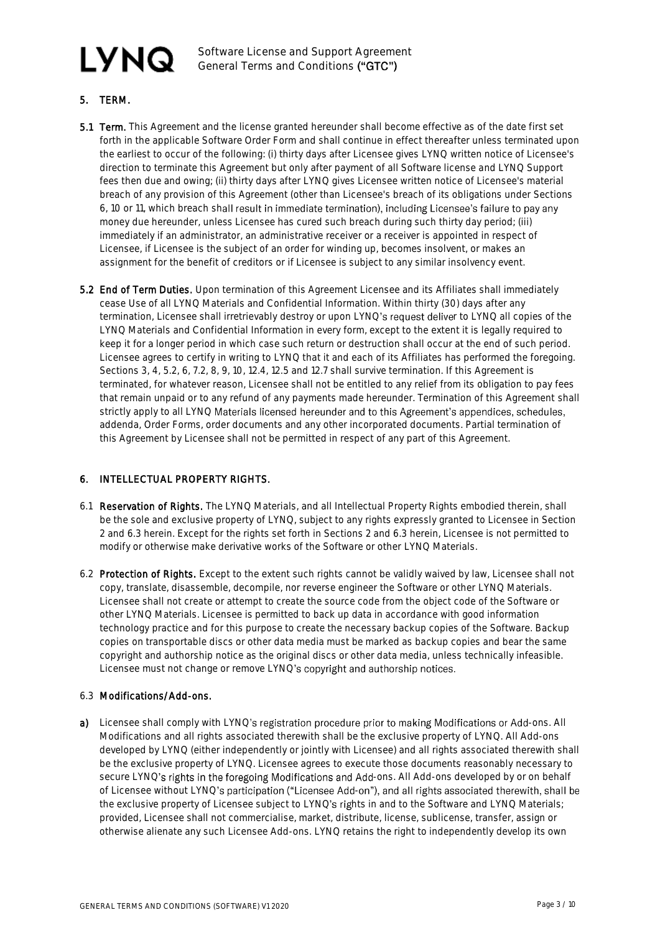Software License and Support Agreement General Terms and Conditions ("GTC")

# 5. TERM.

- 5.1 Term. This Agreement and the license granted hereunder shall become effective as of the date first set forth in the applicable Software Order Form and shall continue in effect thereafter unless terminated upon the earliest to occur of the following: (i) thirty days after Licensee gives LYNQ written notice of Licensee's direction to terminate this Agreement but only after payment of all Software license and LYNQ Support fees then due and owing; (ii) thirty days after LYNQ gives Licensee written notice of Licensee's material breach of any provision of this Agreement (other than Licensee's breach of its obligations under Sections 6, 10 or 11, which breach shall result in immediate termination), including Licensee's failure to pay any money due hereunder, unless Licensee has cured such breach during such thirty day period; (iii) immediately if an administrator, an administrative receiver or a receiver is appointed in respect of Licensee, if Licensee is the subject of an order for winding up, becomes insolvent, or makes an assignment for the benefit of creditors or if Licensee is subject to any similar insolvency event.
- 5.2 End of Term Duties. Upon termination of this Agreement Licensee and its Affiliates shall immediately cease Use of all LYNQ Materials and Confidential Information. Within thirty (30) days after any termination, Licensee shall irretrievably destroy or upon LYNQ's request deliver to LYNQ all copies of the LYNQ Materials and Confidential Information in every form, except to the extent it is legally required to keep it for a longer period in which case such return or destruction shall occur at the end of such period. Licensee agrees to certify in writing to LYNQ that it and each of its Affiliates has performed the foregoing. Sections 3, 4, 5.2, 6, 7.2, 8, 9, 10, 12.4, 12.5 and 12.7 shall survive termination. If this Agreement is terminated, for whatever reason, Licensee shall not be entitled to any relief from its obligation to pay fees that remain unpaid or to any refund of any payments made hereunder. Termination of this Agreement shall strictly apply to all LYNQ Materials licensed hereunder and to this Agreement's appendices, schedules, addenda, Order Forms, order documents and any other incorporated documents. Partial termination of this Agreement by Licensee shall not be permitted in respect of any part of this Agreement.

# 6. INTELLECTUAL PROPERTY RIGHTS.

- 6.1 Reservation of Rights. The LYNQ Materials, and all Intellectual Property Rights embodied therein, shall be the sole and exclusive property of LYNQ, subject to any rights expressly granted to Licensee in Section 2 and 6.3 herein. Except for the rights set forth in Sections 2 and 6.3 herein, Licensee is not permitted to modify or otherwise make derivative works of the Software or other LYNQ Materials.
- 6.2 Protection of Rights. Except to the extent such rights cannot be validly waived by law, Licensee shall not copy, translate, disassemble, decompile, nor reverse engineer the Software or other LYNQ Materials. Licensee shall not create or attempt to create the source code from the object code of the Software or other LYNQ Materials. Licensee is permitted to back up data in accordance with good information technology practice and for this purpose to create the necessary backup copies of the Software. Backup copies on transportable discs or other data media must be marked as backup copies and bear the same copyright and authorship notice as the original discs or other data media, unless technically infeasible. Licensee must not change or remove LYNQ's copyright and authorship notices.

#### 6.3 Modifications/Add-ons.

a) Licensee shall comply with LYNQ's registration procedure prior to making Modifications or Add-ons. All Modifications and all rights associated therewith shall be the exclusive property of LYNQ. All Add-ons developed by LYNQ (either independently or jointly with Licensee) and all rights associated therewith shall be the exclusive property of LYNQ. Licensee agrees to execute those documents reasonably necessary to secure LYNQ's rights in the foregoing Modifications and Add-ons. All Add-ons developed by or on behalf of Licensee without LYNQ's participation ("Licensee Add-on"), and all rights associated therewith, shall be the exclusive property of Licensee subject to LYNQ's rights in and to the Software and LYNQ Materials; provided, Licensee shall not commercialise, market, distribute, license, sublicense, transfer, assign or otherwise alienate any such Licensee Add-ons. LYNQ retains the right to independently develop its own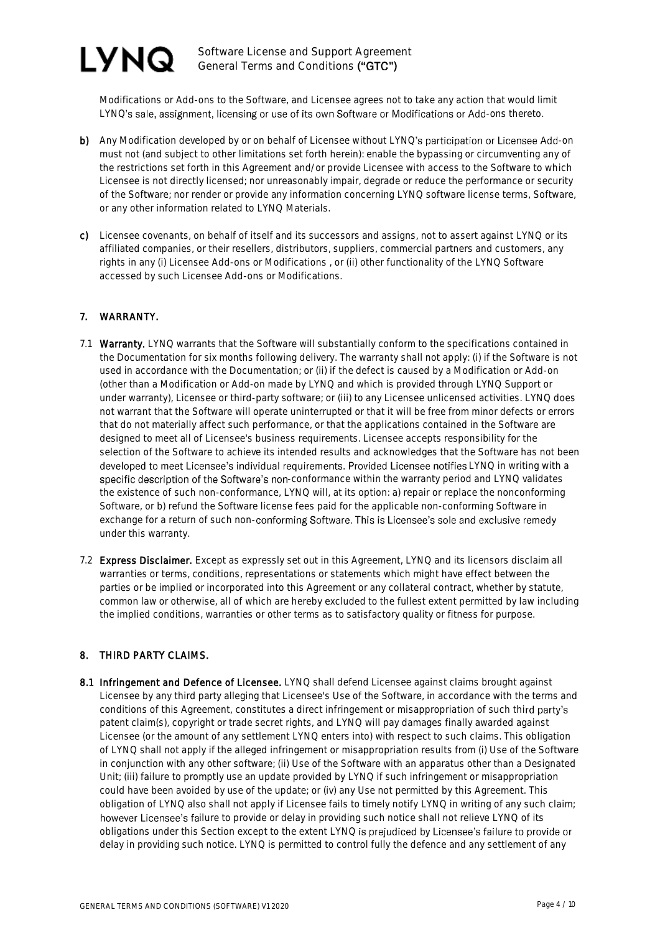

Modifications or Add-ons to the Software, and Licensee agrees not to take any action that would limit LYNQ's sale, assignment, licensing or use of its own Software or Modifications or Add-ons thereto.

- b) Any Modification developed by or on behalf of Licensee without LYNQ's participation or Licensee Add-on must not (and subject to other limitations set forth herein): enable the bypassing or circumventing any of the restrictions set forth in this Agreement and/or provide Licensee with access to the Software to which Licensee is not directly licensed; nor unreasonably impair, degrade or reduce the performance or security of the Software; nor render or provide any information concerning LYNQ software license terms, Software, or any other information related to LYNQ Materials.
- c) Licensee covenants, on behalf of itself and its successors and assigns, not to assert against LYNQ or its affiliated companies, or their resellers, distributors, suppliers, commercial partners and customers, any rights in any (i) Licensee Add-ons or Modifications , or (ii) other functionality of the LYNQ Software accessed by such Licensee Add-ons or Modifications.

#### 7. WARRANTY.

- 7.1 Warranty. LYNQ warrants that the Software will substantially conform to the specifications contained in the Documentation for six months following delivery. The warranty shall not apply: (i) if the Software is not used in accordance with the Documentation; or (ii) if the defect is caused by a Modification or Add-on (other than a Modification or Add-on made by LYNQ and which is provided through LYNQ Support or under warranty), Licensee or third-party software; or (iii) to any Licensee unlicensed activities. LYNQ does not warrant that the Software will operate uninterrupted or that it will be free from minor defects or errors that do not materially affect such performance, or that the applications contained in the Software are designed to meet all of Licensee's business requirements. Licensee accepts responsibility for the selection of the Software to achieve its intended results and acknowledges that the Software has not been developed to meet Licensee's individual requirements. Provided Licensee notifies LYNQ in writing with a specific description of the Software's non-conformance within the warranty period and LYNQ validates the existence of such non-conformance, LYNQ will, at its option: a) repair or replace the nonconforming Software, or b) refund the Software license fees paid for the applicable non-conforming Software in exchange for a return of such non-conforming Software. This is Licensee's sole and exclusive remedy under this warranty.
- 7.2 Express Disclaimer. Except as expressly set out in this Agreement, LYNQ and its licensors disclaim all warranties or terms, conditions, representations or statements which might have effect between the parties or be implied or incorporated into this Agreement or any collateral contract, whether by statute, common law or otherwise, all of which are hereby excluded to the fullest extent permitted by law including the implied conditions, warranties or other terms as to satisfactory quality or fitness for purpose.

#### 8. THIRD PARTY CLAIMS.

8.1 Infringement and Defence of Licensee. LYNQ shall defend Licensee against claims brought against Licensee by any third party alleging that Licensee's Use of the Software, in accordance with the terms and conditions of this Agreement, constitutes a direct infringement or misappropriation of such third party's patent claim(s), copyright or trade secret rights, and LYNQ will pay damages finally awarded against Licensee (or the amount of any settlement LYNQ enters into) with respect to such claims. This obligation of LYNQ shall not apply if the alleged infringement or misappropriation results from (i) Use of the Software in conjunction with any other software; (ii) Use of the Software with an apparatus other than a Designated Unit; (iii) failure to promptly use an update provided by LYNQ if such infringement or misappropriation could have been avoided by use of the update; or (iv) any Use not permitted by this Agreement. This obligation of LYNQ also shall not apply if Licensee fails to timely notify LYNQ in writing of any such claim; however Licensee's failure to provide or delay in providing such notice shall not relieve LYNQ of its obligations under this Section except to the extent LYNQ is prejudiced by Licensee's failure to provide or delay in providing such notice. LYNQ is permitted to control fully the defence and any settlement of any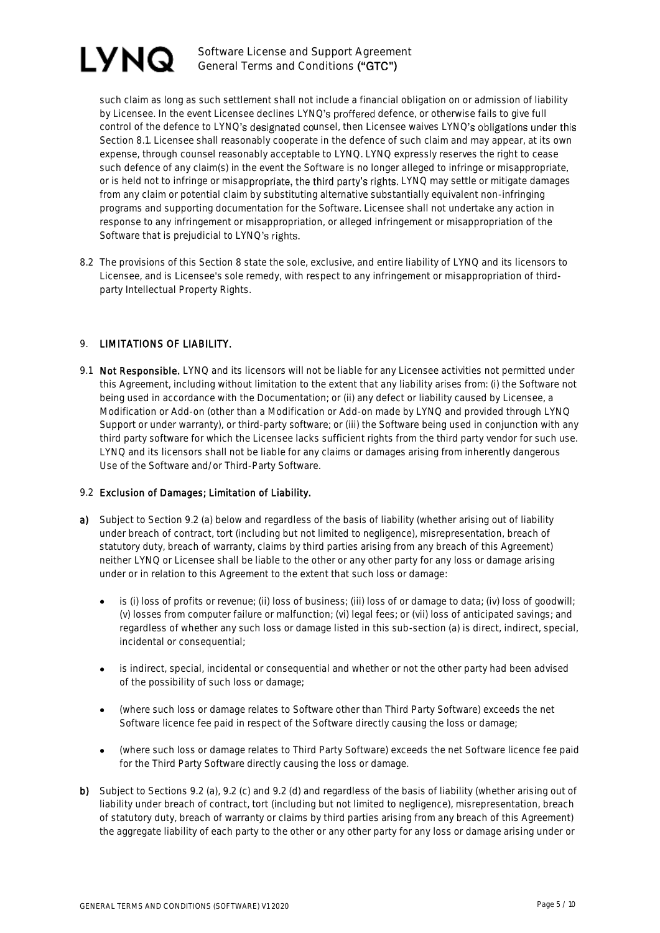

such claim as long as such settlement shall not include a financial obligation on or admission of liability by Licensee. In the event Licensee declines LYNQ's proffered defence, or otherwise fails to give full control of the defence to LYNQ's designated counsel, then Licensee waives LYNQ's obligations under this Section 8.1. Licensee shall reasonably cooperate in the defence of such claim and may appear, at its own expense, through counsel reasonably acceptable to LYNQ. LYNQ expressly reserves the right to cease such defence of any claim(s) in the event the Software is no longer alleged to infringe or misappropriate, or is held not to infringe or misappropriate, the third party's rights. LYNQ may settle or mitigate damages from any claim or potential claim by substituting alternative substantially equivalent non-infringing programs and supporting documentation for the Software. Licensee shall not undertake any action in response to any infringement or misappropriation, or alleged infringement or misappropriation of the Software that is prejudicial to LYNQ's rights.

8.2 The provisions of this Section 8 state the sole, exclusive, and entire liability of LYNQ and its licensors to Licensee, and is Licensee's sole remedy, with respect to any infringement or misappropriation of thirdparty Intellectual Property Rights.

### 9. LIMITATIONS OF LIABILITY.

9.1 Not Responsible. LYNQ and its licensors will not be liable for any Licensee activities not permitted under this Agreement, including without limitation to the extent that any liability arises from: (i) the Software not being used in accordance with the Documentation; or (ii) any defect or liability caused by Licensee, a Modification or Add-on (other than a Modification or Add-on made by LYNQ and provided through LYNQ Support or under warranty), or third-party software; or (iii) the Software being used in conjunction with any third party software for which the Licensee lacks sufficient rights from the third party vendor for such use. LYNQ and its licensors shall not be liable for any claims or damages arising from inherently dangerous Use of the Software and/or Third-Party Software.

#### 9.2 Exclusion of Damages; Limitation of Liability.

- a) Subject to Section 9.2 (a) below and regardless of the basis of liability (whether arising out of liability under breach of contract, tort (including but not limited to negligence), misrepresentation, breach of statutory duty, breach of warranty, claims by third parties arising from any breach of this Agreement) neither LYNQ or Licensee shall be liable to the other or any other party for any loss or damage arising under or in relation to this Agreement to the extent that such loss or damage:
	- is (i) loss of profits or revenue; (ii) loss of business; (iii) loss of or damage to data; (iv) loss of goodwill; (v) losses from computer failure or malfunction; (vi) legal fees; or (vii) loss of anticipated savings; and regardless of whether any such loss or damage listed in this sub-section (a) is direct, indirect, special, incidental or consequential;
	- is indirect, special, incidental or consequential and whether or not the other party had been advised of the possibility of such loss or damage;
	- (where such loss or damage relates to Software other than Third Party Software) exceeds the net Software licence fee paid in respect of the Software directly causing the loss or damage;
	- (where such loss or damage relates to Third Party Software) exceeds the net Software licence fee paid for the Third Party Software directly causing the loss or damage.
- b) Subject to Sections 9.2 (a), 9.2 (c) and 9.2 (d) and regardless of the basis of liability (whether arising out of liability under breach of contract, tort (including but not limited to negligence), misrepresentation, breach of statutory duty, breach of warranty or claims by third parties arising from any breach of this Agreement) the aggregate liability of each party to the other or any other party for any loss or damage arising under or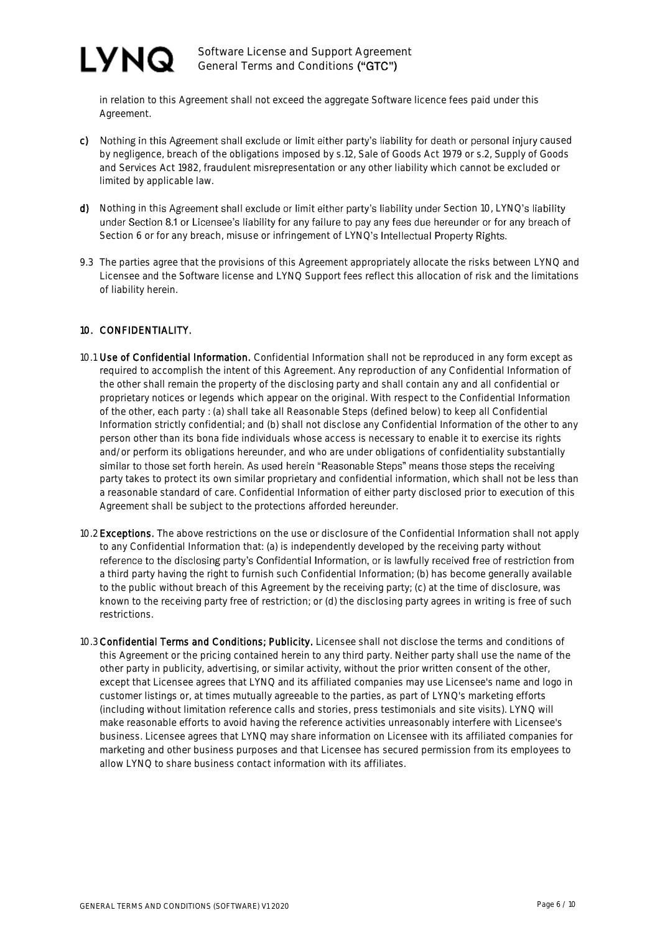

in relation to this Agreement shall not exceed the aggregate Software licence fees paid under this Agreement.

- c) Nothing in this Agreement shall exclude or limit either party's liability for death or personal injury caused by negligence, breach of the obligations imposed by s.12, Sale of Goods Act 1979 or s.2, Supply of Goods and Services Act 1982, fraudulent misrepresentation or any other liability which cannot be excluded or limited by applicable law.
- d) Nothing in this Agreement shall exclude or limit either party's liability under Section 10, LYNQ's liability under Section 8.1 or Licensee's liability for any failure to pay any fees due hereunder or for any breach of Section 6 or for any breach, misuse or infringement of LYNQ's Intellectual Property Rights.
- 9.3 The parties agree that the provisions of this Agreement appropriately allocate the risks between LYNQ and Licensee and the Software license and LYNQ Support fees reflect this allocation of risk and the limitations of liability herein.

#### 10. CONFIDENTIALITY.

- 10.1 Use of Confidential Information. Confidential Information shall not be reproduced in any form except as required to accomplish the intent of this Agreement. Any reproduction of any Confidential Information of the other shall remain the property of the disclosing party and shall contain any and all confidential or proprietary notices or legends which appear on the original. With respect to the Confidential Information of the other, each party : (a) shall take all Reasonable Steps (defined below) to keep all Confidential Information strictly confidential; and (b) shall not disclose any Confidential Information of the other to any person other than its bona fide individuals whose access is necessary to enable it to exercise its rights and/or perform its obligations hereunder, and who are under obligations of confidentiality substantially similar to those set forth herein. As used herein "Reasonable Steps" means those steps the receiving party takes to protect its own similar proprietary and confidential information, which shall not be less than a reasonable standard of care. Confidential Information of either party disclosed prior to execution of this Agreement shall be subject to the protections afforded hereunder.
- 10.2 Exceptions. The above restrictions on the use or disclosure of the Confidential Information shall not apply to any Confidential Information that: (a) is independently developed by the receiving party without reference to the disclosing party's Confidential Information, or is lawfully received free of restriction from a third party having the right to furnish such Confidential Information; (b) has become generally available to the public without breach of this Agreement by the receiving party; (c) at the time of disclosure, was known to the receiving party free of restriction; or (d) the disclosing party agrees in writing is free of such restrictions.
- 10.3Confidential Terms and Conditions; Publicity. Licensee shall not disclose the terms and conditions of this Agreement or the pricing contained herein to any third party. Neither party shall use the name of the other party in publicity, advertising, or similar activity, without the prior written consent of the other, except that Licensee agrees that LYNQ and its affiliated companies may use Licensee's name and logo in customer listings or, at times mutually agreeable to the parties, as part of LYNQ's marketing efforts (including without limitation reference calls and stories, press testimonials and site visits). LYNQ will make reasonable efforts to avoid having the reference activities unreasonably interfere with Licensee's business. Licensee agrees that LYNQ may share information on Licensee with its affiliated companies for marketing and other business purposes and that Licensee has secured permission from its employees to allow LYNQ to share business contact information with its affiliates.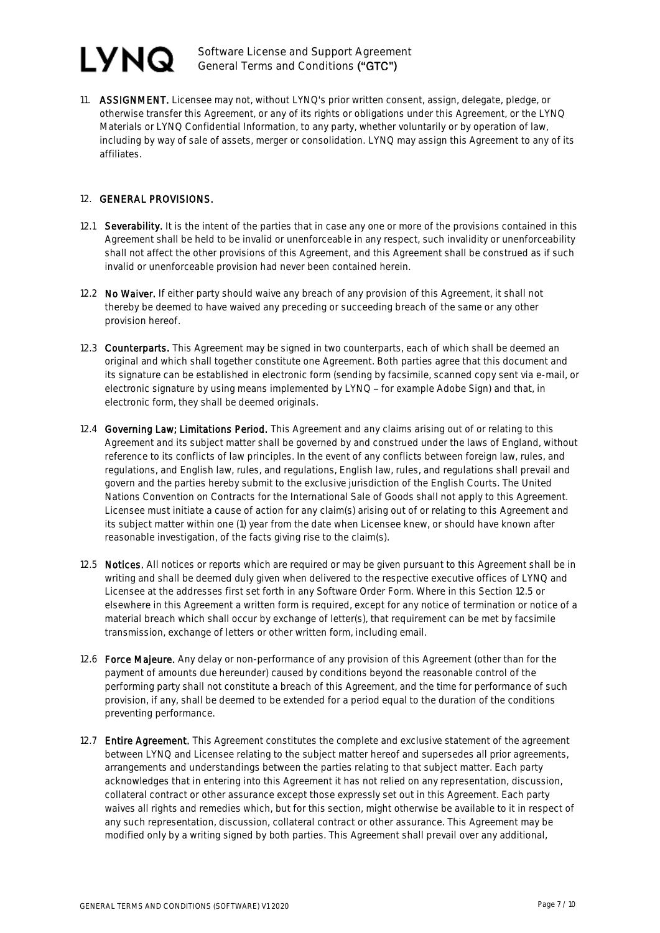Software License and Support Agreement General Terms and Conditions ("GTC")

11. ASSIGNMENT. Licensee may not, without LYNQ's prior written consent, assign, delegate, pledge, or otherwise transfer this Agreement, or any of its rights or obligations under this Agreement, or the LYNQ Materials or LYNQ Confidential Information, to any party, whether voluntarily or by operation of law, including by way of sale of assets, merger or consolidation. LYNQ may assign this Agreement to any of its affiliates.

#### 12. GENERAL PROVISIONS.

- 12.1 Severability. It is the intent of the parties that in case any one or more of the provisions contained in this Agreement shall be held to be invalid or unenforceable in any respect, such invalidity or unenforceability shall not affect the other provisions of this Agreement, and this Agreement shall be construed as if such invalid or unenforceable provision had never been contained herein.
- 12.2 No Waiver. If either party should waive any breach of any provision of this Agreement, it shall not thereby be deemed to have waived any preceding or succeeding breach of the same or any other provision hereof.
- 12.3 Counterparts. This Agreement may be signed in two counterparts, each of which shall be deemed an original and which shall together constitute one Agreement. Both parties agree that this document and its signature can be established in electronic form (sending by facsimile, scanned copy sent via e-mail, or electronic signature by using means implemented by LYNQ - for example Adobe Sign) and that, in electronic form, they shall be deemed originals.
- 12.4 Governing Law; Limitations Period. This Agreement and any claims arising out of or relating to this Agreement and its subject matter shall be governed by and construed under the laws of England, without reference to its conflicts of law principles. In the event of any conflicts between foreign law, rules, and regulations, and English law, rules, and regulations, English law, rules, and regulations shall prevail and govern and the parties hereby submit to the exclusive jurisdiction of the English Courts. The United Nations Convention on Contracts for the International Sale of Goods shall not apply to this Agreement. Licensee must initiate a cause of action for any claim(s) arising out of or relating to this Agreement and its subject matter within one (1) year from the date when Licensee knew, or should have known after reasonable investigation, of the facts giving rise to the claim(s).
- 12.5 Notices. All notices or reports which are required or may be given pursuant to this Agreement shall be in writing and shall be deemed duly given when delivered to the respective executive offices of LYNQ and Licensee at the addresses first set forth in any Software Order Form. Where in this Section 12.5 or elsewhere in this Agreement a written form is required, except for any notice of termination or notice of a material breach which shall occur by exchange of letter(s), that requirement can be met by facsimile transmission, exchange of letters or other written form, including email.
- 12.6 Force Majeure. Any delay or non-performance of any provision of this Agreement (other than for the payment of amounts due hereunder) caused by conditions beyond the reasonable control of the performing party shall not constitute a breach of this Agreement, and the time for performance of such provision, if any, shall be deemed to be extended for a period equal to the duration of the conditions preventing performance.
- 12.7 Entire Agreement. This Agreement constitutes the complete and exclusive statement of the agreement between LYNQ and Licensee relating to the subject matter hereof and supersedes all prior agreements, arrangements and understandings between the parties relating to that subject matter. Each party acknowledges that in entering into this Agreement it has not relied on any representation, discussion, collateral contract or other assurance except those expressly set out in this Agreement. Each party waives all rights and remedies which, but for this section, might otherwise be available to it in respect of any such representation, discussion, collateral contract or other assurance. This Agreement may be modified only by a writing signed by both parties. This Agreement shall prevail over any additional,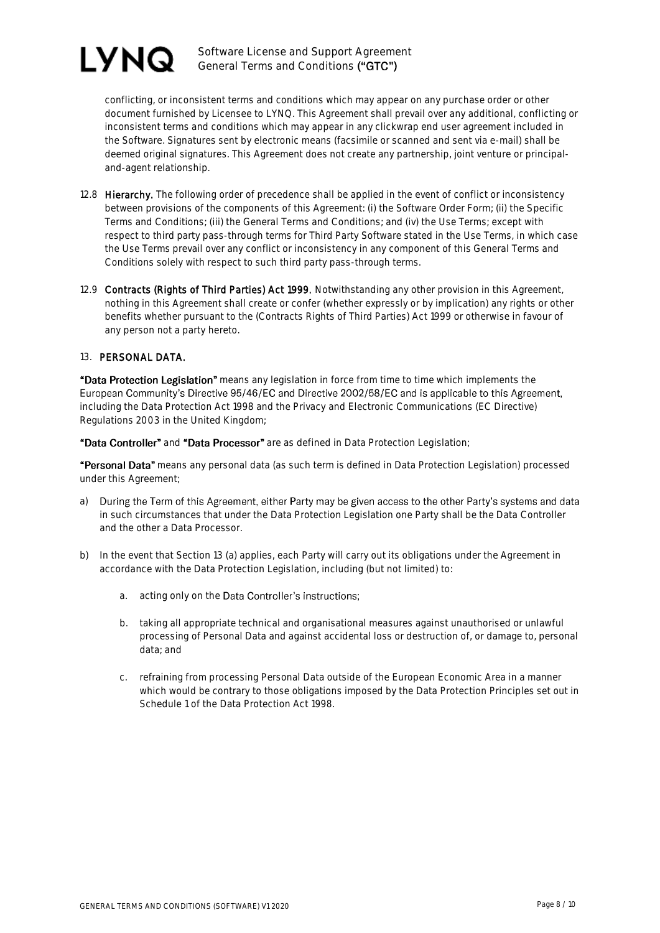

conflicting, or inconsistent terms and conditions which may appear on any purchase order or other document furnished by Licensee to LYNQ. This Agreement shall prevail over any additional, conflicting or inconsistent terms and conditions which may appear in any clickwrap end user agreement included in the Software. Signatures sent by electronic means (facsimile or scanned and sent via e-mail) shall be deemed original signatures. This Agreement does not create any partnership, joint venture or principaland-agent relationship.

- 12.8 Hierarchy. The following order of precedence shall be applied in the event of conflict or inconsistency between provisions of the components of this Agreement: (i) the Software Order Form; (ii) the Specific Terms and Conditions; (iii) the General Terms and Conditions; and (iv) the Use Terms; except with respect to third party pass-through terms for Third Party Software stated in the Use Terms, in which case the Use Terms prevail over any conflict or inconsistency in any component of this General Terms and Conditions solely with respect to such third party pass-through terms.
- 12.9 Contracts (Rights of Third Parties) Act 1999. Notwithstanding any other provision in this Agreement, nothing in this Agreement shall create or confer (whether expressly or by implication) any rights or other benefits whether pursuant to the (Contracts Rights of Third Parties) Act 1999 or otherwise in favour of any person not a party hereto.

#### 13. PERSONAL DATA.

"Data Protection Legislation" means any legislation in force from time to time which implements the European Community's Directive 95/46/EC and Directive 2002/58/EC and is applicable to this Agreement, including the Data Protection Act 1998 and the Privacy and Electronic Communications (EC Directive) Regulations 2003 in the United Kingdom;

"Data Controller" and "Data Processor" are as defined in Data Protection Legislation;

"Personal Data" means any personal data (as such term is defined in Data Protection Legislation) processed under this Agreement;

- a) During the Term of this Agreement, either Party may be given access to the other Party's systems and data in such circumstances that under the Data Protection Legislation one Party shall be the Data Controller and the other a Data Processor.
- b) In the event that Section 13 (a) applies, each Party will carry out its obligations under the Agreement in accordance with the Data Protection Legislation, including (but not limited) to:
	- a. acting only on the Data Controller's instructions;
	- b. taking all appropriate technical and organisational measures against unauthorised or unlawful processing of Personal Data and against accidental loss or destruction of, or damage to, personal data; and
	- c. refraining from processing Personal Data outside of the European Economic Area in a manner which would be contrary to those obligations imposed by the Data Protection Principles set out in Schedule 1 of the Data Protection Act 1998.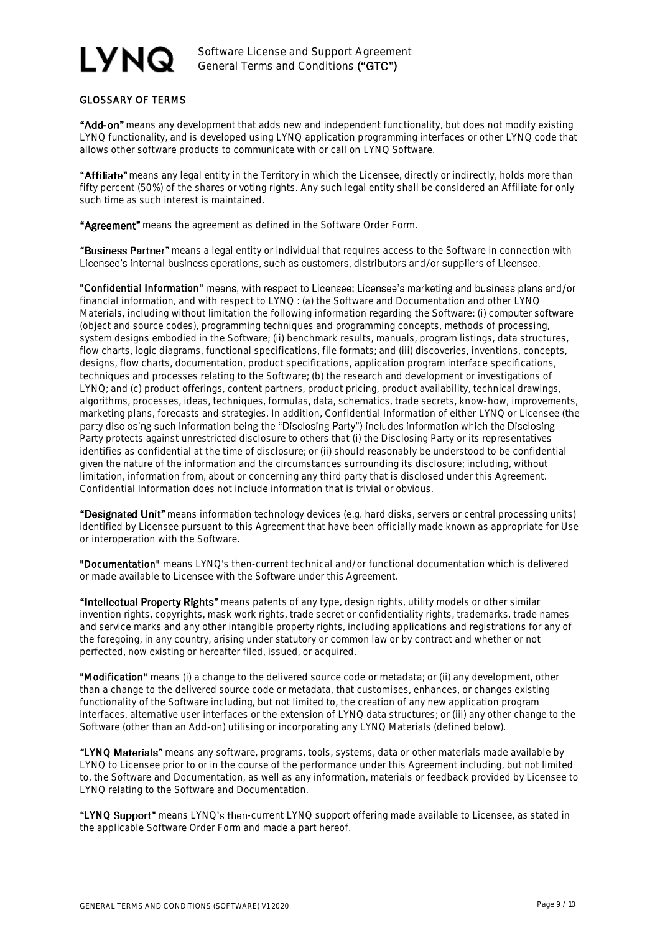# GLOSSARY OF TERMS

"Add-on" means any development that adds new and independent functionality, but does not modify existing LYNQ functionality, and is developed using LYNQ application programming interfaces or other LYNQ code that allows other software products to communicate with or call on LYNQ Software.

"Affiliate" means any legal entity in the Territory in which the Licensee, directly or indirectly, holds more than fifty percent (50%) of the shares or voting rights. Any such legal entity shall be considered an Affiliate for only such time as such interest is maintained.

"Agreement" means the agreement as defined in the Software Order Form.

"Business Partner" means a legal entity or individual that requires access to the Software in connection with Licensee's internal business operations, such as customers, distributors and/or suppliers of Licensee.

"Confidential Information" means, with respect to Licensee: Licensee's marketing and business plans and/or financial information, and with respect to LYNQ : (a) the Software and Documentation and other LYNQ Materials, including without limitation the following information regarding the Software: (i) computer software (object and source codes), programming techniques and programming concepts, methods of processing, system designs embodied in the Software; (ii) benchmark results, manuals, program listings, data structures, flow charts, logic diagrams, functional specifications, file formats; and (iii) discoveries, inventions, concepts, designs, flow charts, documentation, product specifications, application program interface specifications, techniques and processes relating to the Software; (b) the research and development or investigations of LYNQ; and (c) product offerings, content partners, product pricing, product availability, technical drawings, algorithms, processes, ideas, techniques, formulas, data, schematics, trade secrets, know-how, improvements, marketing plans, forecasts and strategies. In addition, Confidential Information of either LYNQ or Licensee (the party disclosing such information being the "Disclosing Party") includes information which the Disclosing Party protects against unrestricted disclosure to others that (i) the Disclosing Party or its representatives identifies as confidential at the time of disclosure; or (ii) should reasonably be understood to be confidential given the nature of the information and the circumstances surrounding its disclosure; including, without limitation, information from, about or concerning any third party that is disclosed under this Agreement. Confidential Information does not include information that is trivial or obvious.

"Designated Unit" means information technology devices (e.g. hard disks, servers or central processing units) identified by Licensee pursuant to this Agreement that have been officially made known as appropriate for Use or interoperation with the Software.

"Documentation" means LYNQ's then-current technical and/or functional documentation which is delivered or made available to Licensee with the Software under this Agreement.

"Intellectual Property Rights" means patents of any type, design rights, utility models or other similar invention rights, copyrights, mask work rights, trade secret or confidentiality rights, trademarks, trade names and service marks and any other intangible property rights, including applications and registrations for any of the foregoing, in any country, arising under statutory or common law or by contract and whether or not perfected, now existing or hereafter filed, issued, or acquired.

"Modification" means (i) a change to the delivered source code or metadata; or (ii) any development, other than a change to the delivered source code or metadata, that customises, enhances, or changes existing functionality of the Software including, but not limited to, the creation of any new application program interfaces, alternative user interfaces or the extension of LYNQ data structures; or (iii) any other change to the Software (other than an Add-on) utilising or incorporating any LYNQ Materials (defined below).

"LYNQ Materials" means any software, programs, tools, systems, data or other materials made available by LYNQ to Licensee prior to or in the course of the performance under this Agreement including, but not limited to, the Software and Documentation, as well as any information, materials or feedback provided by Licensee to LYNQ relating to the Software and Documentation.

"LYNQ Support" means LYNQ's then-current LYNQ support offering made available to Licensee, as stated in the applicable Software Order Form and made a part hereof.